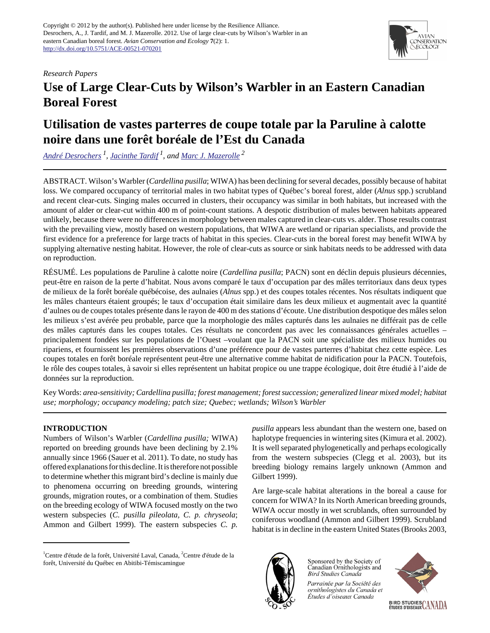# *Research Papers*



# **Use of Large Clear-Cuts by Wilson's Warbler in an Eastern Canadian Boreal Forest**

# **Utilisation de vastes parterres de coupe totale par la Paruline à calotte noire dans une forêt boréale de l'Est du Canada**

*[André Desrochers](mailto:andre.desrochers@sbf.ulaval.ca)<sup>1</sup> , [Jacinthe Tardif](mailto:jactardi@videotron.ca) 1, and [Marc J. Mazerolle](mailto:marc.mazerolle@uqat.ca)<sup>2</sup>*

ABSTRACT. Wilson's Warbler (*Cardellina pusilla*; WIWA) has been declining for several decades, possibly because of habitat loss. We compared occupancy of territorial males in two habitat types of Québec's boreal forest, alder (*Alnus* spp.) scrubland and recent clear-cuts. Singing males occurred in clusters, their occupancy was similar in both habitats, but increased with the amount of alder or clear-cut within 400 m of point-count stations. A despotic distribution of males between habitats appeared unlikely, because there were no differences in morphology between males captured in clear-cuts vs. alder. Those results contrast with the prevailing view, mostly based on western populations, that WIWA are wetland or riparian specialists, and provide the first evidence for a preference for large tracts of habitat in this species. Clear-cuts in the boreal forest may benefit WIWA by supplying alternative nesting habitat. However, the role of clear-cuts as source or sink habitats needs to be addressed with data on reproduction.

RÉSUMÉ. Les populations de Paruline à calotte noire (*Cardellina pusilla*; PACN) sont en déclin depuis plusieurs décennies, peut-être en raison de la perte d'habitat. Nous avons comparé le taux d'occupation par des mâles territoriaux dans deux types de milieux de la forêt boréale québécoise, des aulnaies (*Alnus* spp.) et des coupes totales récentes. Nos résultats indiquent que les mâles chanteurs étaient groupés; le taux d'occupation était similaire dans les deux milieux et augmentait avec la quantité d'aulnes ou de coupes totales présente dans le rayon de 400 m des stations d'écoute. Une distribution despotique des mâles selon les milieux s'est avérée peu probable, parce que la morphologie des mâles capturés dans les aulnaies ne différait pas de celle des mâles capturés dans les coupes totales. Ces résultats ne concordent pas avec les connaissances générales actuelles – principalement fondées sur les populations de l'Ouest –voulant que la PACN soit une spécialiste des milieux humides ou ripariens, et fournissent les premières observations d'une préférence pour de vastes parterres d'habitat chez cette espèce. Les coupes totales en forêt boréale représentent peut-être une alternative comme habitat de nidification pour la PACN. Toutefois, le rôle des coupes totales, à savoir si elles représentent un habitat propice ou une trappe écologique, doit être étudié à l'aide de données sur la reproduction.

Key Words: *area-sensitivity; Cardellina pusilla; forest management; forest succession; generalized linear mixed model; habitat use; morphology; occupancy modeling; patch size; Quebec; wetlands; Wilson's Warbler*

# **INTRODUCTION**

Numbers of Wilson's Warbler (*Cardellina pusilla;* WIWA) reported on breeding grounds have been declining by 2.1% annually since 1966 (Sauer et al. 2011). To date, no study has offered explanations for this decline. It is therefore not possible to determine whether this migrant bird's decline is mainly due to phenomena occurring on breeding grounds, wintering grounds, migration routes, or a combination of them. Studies on the breeding ecology of WIWA focused mostly on the two western subspecies (*C. pusilla pileolata, C. p. chryseola*; Ammon and Gilbert 1999). The eastern subspecies *C. p.* *pusilla* appears less abundant than the western one, based on haplotype frequencies in wintering sites (Kimura et al. 2002). It is well separated phylogenetically and perhaps ecologically from the western subspecies (Clegg et al. 2003), but its breeding biology remains largely unknown (Ammon and Gilbert 1999).

Are large-scale habitat alterations in the boreal a cause for concern for WIWA? In its North American breeding grounds, WIWA occur mostly in wet scrublands, often surrounded by coniferous woodland (Ammon and Gilbert 1999). Scrubland habitat is in decline in the eastern United States (Brooks 2003,



Sponsored by the Society of Canadian Ornithologists and **Bird Studies Canada** 

Parrainée par la Société des ornithologistes du Canada et Études d'oiseaux Canada



<sup>&</sup>lt;sup>1</sup>Centre d'étude de la forêt, Université Laval, Canada, <sup>2</sup>Centre d'étude de la forêt, Université du Québec en Abitibi-Témiscamingue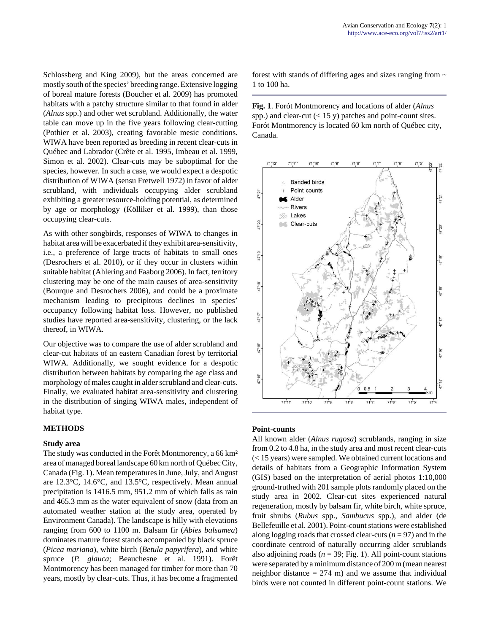Schlossberg and King 2009), but the areas concerned are mostly south of the species' breeding range. Extensive logging of boreal mature forests (Boucher et al. 2009) has promoted habitats with a patchy structure similar to that found in alder (*Alnus* spp.) and other wet scrubland. Additionally, the water table can move up in the five years following clear-cutting (Pothier et al. 2003), creating favorable mesic conditions. WIWA have been reported as breeding in recent clear-cuts in Québec and Labrador (Crête et al. 1995, Imbeau et al. 1999, Simon et al. 2002). Clear-cuts may be suboptimal for the species, however. In such a case, we would expect a despotic distribution of WIWA (sensu Fretwell 1972) in favor of alder scrubland, with individuals occupying alder scrubland exhibiting a greater resource-holding potential, as determined by age or morphology (Kölliker et al. 1999), than those occupying clear-cuts.

As with other songbirds, responses of WIWA to changes in habitat area will be exacerbated if they exhibit area-sensitivity, i.e., a preference of large tracts of habitats to small ones (Desrochers et al. 2010), or if they occur in clusters within suitable habitat (Ahlering and Faaborg 2006). In fact, territory clustering may be one of the main causes of area-sensitivity (Bourque and Desrochers 2006), and could be a proximate mechanism leading to precipitous declines in species' occupancy following habitat loss. However, no published studies have reported area-sensitivity, clustering, or the lack thereof, in WIWA.

Our objective was to compare the use of alder scrubland and clear-cut habitats of an eastern Canadian forest by territorial WIWA. Additionally, we sought evidence for a despotic distribution between habitats by comparing the age class and morphology of males caught in alder scrubland and clear-cuts. Finally, we evaluated habitat area-sensitivity and clustering in the distribution of singing WIWA males, independent of habitat type.

#### **METHODS**

#### **Study area**

The study was conducted in the Forêt Montmorency, a 66 km² area of managed boreal landscape 60 km north of Québec City, Canada (Fig. 1). Mean temperatures in June, July, and August are 12.3°C, 14.6°C, and 13.5°C, respectively. Mean annual precipitation is 1416.5 mm, 951.2 mm of which falls as rain and 465.3 mm as the water equivalent of snow (data from an automated weather station at the study area, operated by Environment Canada). The landscape is hilly with elevations ranging from 600 to 1100 m. Balsam fir (*Abies balsamea*) dominates mature forest stands accompanied by black spruce (*Picea mariana*), white birch (*Betula papyrifera*), and white spruce (*P. glauca*; Beauchesne et al. 1991). Forêt Montmorency has been managed for timber for more than 70 years, mostly by clear-cuts. Thus, it has become a fragmented forest with stands of differing ages and sizes ranging from  $\sim$ 1 to 100 ha.

**Fig. 1**. Forót Montmorency and locations of alder (*Alnus* spp.) and clear-cut  $(< 15 \text{ y})$  patches and point-count sites. Forót Montmorency is located 60 km north of Québec city, Canada.



#### **Point-counts**

All known alder (*Alnus rugosa*) scrublands, ranging in size from 0.2 to 4.8 ha, in the study area and most recent clear-cuts (< 15 years) were sampled. We obtained current locations and details of habitats from a Geographic Information System (GIS) based on the interpretation of aerial photos 1:10,000 ground-truthed with 201 sample plots randomly placed on the study area in 2002. Clear-cut sites experienced natural regeneration, mostly by balsam fir, white birch, white spruce, fruit shrubs (*Rubus* spp., *Sambucus* spp.), and alder (de Bellefeuille et al. 2001). Point-count stations were established along logging roads that crossed clear-cuts (*n* = 97) and in the coordinate centroid of naturally occurring alder scrublands also adjoining roads  $(n = 39; Fig. 1)$ . All point-count stations were separated by a minimum distance of 200 m (mean nearest neighbor distance  $= 274$  m) and we assume that individual birds were not counted in different point-count stations. We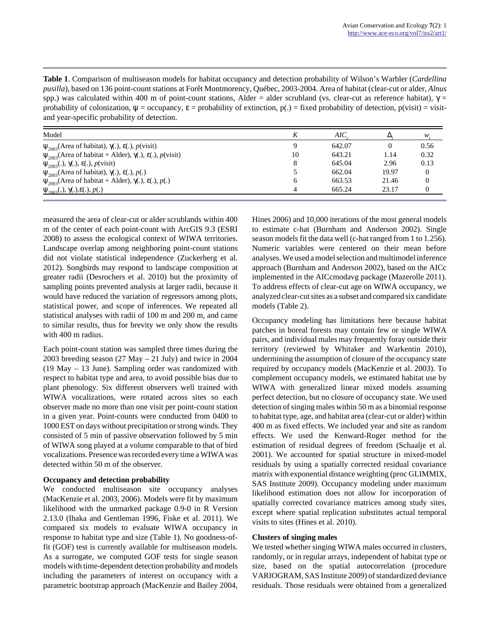**Table 1**. Comparison of multiseason models for habitat occupancy and detection probability of Wilson's Warbler (*Cardellina pusilla*), based on 136 point-count stations at Forêt Montmorency, Québec, 2003-2004. Area of habitat (clear-cut or alder, *Alnus* spp.) was calculated within 400 m of point-count stations, Alder = alder scrubland (vs. clear-cut as reference habitat),  $\gamma$  = probability of colonization,  $\psi$  = occupancy,  $\varepsilon$  = probability of extinction, p(.) = fixed probability of detection, p(visit) = visitand year-specific probability of detection.

| Model                                                                                |    | AIC    |       | w.   |
|--------------------------------------------------------------------------------------|----|--------|-------|------|
| $\Psi_{2003}$ (Area of habitat), $\gamma(.)$ , $\varepsilon(.)$ , $p(visit)$         |    | 642.07 |       | 0.56 |
| $\Psi_{2003}$ (Area of habitat + Alder), $\gamma(.)$ , $\varepsilon(.)$ , $p(visit)$ | 10 | 643.21 | 1.14  | 0.32 |
| $\Psi_{2003}(.), \gamma(.), \varepsilon(.), p(visit)$                                |    | 645.04 | 2.96  | 0.13 |
| $\Psi_{2003}$ (Area of habitat), $\gamma(.)$ , $\varepsilon(.)$ , $p(.)$             |    | 662.04 | 19.97 |      |
| $\Psi_{2003}$ (Area of habitat + Alder), $\gamma(.)$ , $\varepsilon(.)$ , $p(.)$     |    | 663.53 | 21.46 |      |
| $\Psi_{2003}(.), \gamma(.), \varepsilon(.), p(.)$                                    | 4  | 665.24 | 23.17 |      |

measured the area of clear-cut or alder scrublands within 400 m of the center of each point-count with ArcGIS 9.3 (ESRI 2008) to assess the ecological context of WIWA territories. Landscape overlap among neighboring point-count stations did not violate statistical independence (Zuckerberg et al. 2012). Songbirds may respond to landscape composition at greater radii (Desrochers et al. 2010) but the proximity of sampling points prevented analysis at larger radii, because it would have reduced the variation of regressors among plots, statistical power, and scope of inferences. We repeated all statistical analyses with radii of 100 m and 200 m, and came to similar results, thus for brevity we only show the results with 400 m radius.

Each point-count station was sampled three times during the 2003 breeding season  $(27 \text{ Mav} - 21 \text{ July})$  and twice in 2004 (19 May – 13 June). Sampling order was randomized with respect to habitat type and area, to avoid possible bias due to plant phenology. Six different observers well trained with WIWA vocalizations, were rotated across sites so each observer made no more than one visit per point-count station in a given year. Point-counts were conducted from 0400 to 1000 EST on days without precipitation or strong winds. They consisted of 5 min of passive observation followed by 5 min of WIWA song played at a volume comparable to that of bird vocalizations. Presence was recorded every time a WIWA was detected within 50 m of the observer.

#### **Occupancy and detection probability**

We conducted multiseason site occupancy analyses (MacKenzie et al. 2003, 2006). Models were fit by maximum likelihood with the unmarked package 0.9-0 in R Version 2.13.0 (Ihaka and Gentleman 1996, Fiske et al. 2011). We compared six models to evaluate WIWA occupancy in response to habitat type and size (Table 1). No goodness-offit (GOF) test is currently available for multiseason models. As a surrogate, we computed GOF tests for single season models with time-dependent detection probability and models including the parameters of interest on occupancy with a parametric bootstrap approach (MacKenzie and Bailey 2004, Hines 2006) and 10,000 iterations of the most general models to estimate c-hat (Burnham and Anderson 2002). Single season models fit the data well (c-hat ranged from 1 to 1.256). Numeric variables were centered on their mean before analyses. We used a model selection and multimodel inference approach (Burnham and Anderson 2002), based on the AICc implemented in the AICcmodavg package (Mazerolle 2011). To address effects of clear-cut age on WIWA occupancy, we analyzed clear-cut sites as a subset and compared six candidate models (Table 2).

Occupancy modeling has limitations here because habitat patches in boreal forests may contain few or single WIWA pairs, and individual males may frequently foray outside their territory (reviewed by Whitaker and Warkentin 2010), undermining the assumption of closure of the occupancy state required by occupancy models (MacKenzie et al. 2003). To complement occupancy models, we estimated habitat use by WIWA with generalized linear mixed models assuming perfect detection, but no closure of occupancy state. We used detection of singing males within 50 m as a binomial response to habitat type, age, and habitat area (clear-cut or alder) within 400 m as fixed effects. We included year and site as random effects. We used the Kenward-Roger method for the estimation of residual degrees of freedom (Schaalje et al. 2001). We accounted for spatial structure in mixed-model residuals by using a spatially corrected residual covariance matrix with exponential distance weighting (proc GLIMMIX, SAS Institute 2009). Occupancy modeling under maximum likelihood estimation does not allow for incorporation of spatially corrected covariance matrices among study sites, except where spatial replication substitutes actual temporal visits to sites (Hines et al. 2010).

#### **Clusters of singing males**

We tested whether singing WIWA males occurred in clusters, randomly, or in regular arrays, independent of habitat type or size, based on the spatial autocorrelation (procedure VARIOGRAM, SAS Institute 2009) of standardized deviance residuals. Those residuals were obtained from a generalized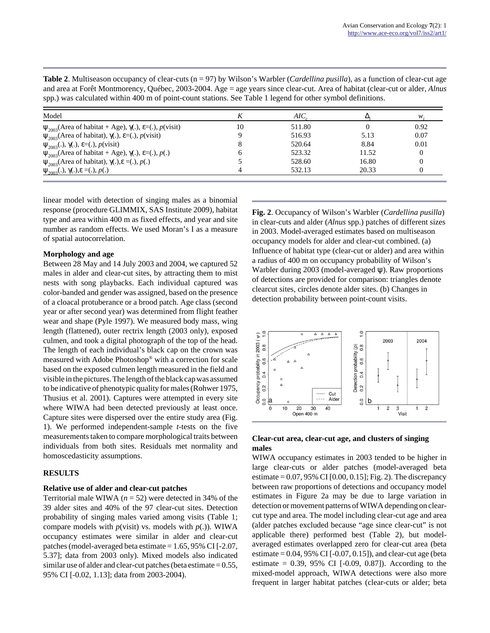| Model                                                                                  |    | AIC    |       | w.       |  |
|----------------------------------------------------------------------------------------|----|--------|-------|----------|--|
| $\Psi_{2003}$ (Area of habitat + Age), $\gamma(.)$ , $\varepsilon=(.)$ , $p(visit)$    | 10 | 511.80 |       | 0.92     |  |
| $\Psi_{2003}$ (Area of habitat), $\gamma(.)$ , $\varepsilon = (.)$ , $p(\text{visit})$ |    | 516.93 | 5.13  | 0.07     |  |
| $\Psi_{2003}(.), \gamma(.), \varepsilon = (.), p(visit)$                               |    | 520.64 | 8.84  | 0.01     |  |
| $\Psi_{2003}$ (Area of habitat + Age), $\gamma(.)$ , $\varepsilon=(.)$ , $p(.)$        |    | 523.32 | 11.52 | $\Omega$ |  |
| $\Psi_{2003}$ (Area of habitat), $\gamma(.)$ , $\varepsilon =(.)$ , $p(.)$             |    | 528.60 | 16.80 | $\Omega$ |  |
| $\Psi_{2003}(.)$ , $\gamma(.)$ , $\varepsilon = (.)$ , $p(.)$                          |    | 532.13 | 20.33 |          |  |

**Table 2**. Multiseason occupancy of clear-cuts (n = 97) by Wilson's Warbler (*Cardellina pusilla*), as a function of clear-cut age and area at Forêt Montmorency, Québec, 2003-2004. Age = age years since clear-cut. Area of habitat (clear-cut or alder, *Alnus* spp.) was calculated within 400 m of point-count stations. See Table 1 legend for other symbol definitions.

linear model with detection of singing males as a binomial response (procedure GLIMMIX, SAS Institute 2009), habitat type and area within 400 m as fixed effects, and year and site number as random effects. We used Moran's I as a measure of spatial autocorrelation.

#### **Morphology and age**

Between 28 May and 14 July 2003 and 2004, we captured 52 males in alder and clear-cut sites, by attracting them to mist nests with song playbacks. Each individual captured was color-banded and gender was assigned, based on the presence of a cloacal protuberance or a brood patch. Age class (second year or after second year) was determined from flight feather wear and shape (Pyle 1997). We measured body mass, wing length (flattened), outer rectrix length (2003 only), exposed culmen, and took a digital photograph of the top of the head. The length of each individual's black cap on the crown was measured with Adobe Photoshop® with a correction for scale based on the exposed culmen length measured in the field and visible in the pictures. The length of the black cap was assumed to be indicative of phenotypic quality for males (Rohwer 1975, Thusius et al. 2001). Captures were attempted in every site where WIWA had been detected previously at least once. Capture sites were dispersed over the entire study area (Fig. 1). We performed independent-sample *t*-tests on the five measurements taken to compare morphological traits between individuals from both sites. Residuals met normality and homoscedasticity assumptions.

#### **RESULTS**

#### **Relative use of alder and clear-cut patches**

Territorial male WIWA  $(n = 52)$  were detected in 34% of the 39 alder sites and 40% of the 97 clear-cut sites. Detection probability of singing males varied among visits (Table 1; compare models with  $p(visit)$  vs. models with  $p(.)$ ). WIWA occupancy estimates were similar in alder and clear-cut patches (model-averaged beta estimate = 1.65, 95% CI [-2.07, 5.37]; data from 2003 only). Mixed models also indicated similar use of alder and clear-cut patches (beta estimate  $= 0.55$ , 95% CI [-0.02, 1.13]; data from 2003-2004).

**Fig. 2**. Occupancy of Wilson's Warbler (*Cardellina pusilla*) in clear-cuts and alder (*Alnus* spp.) patches of different sizes in 2003. Model-averaged estimates based on multiseason occupancy models for alder and clear-cut combined. (a) Influence of habitat type (clear-cut or alder) and area within a radius of 400 m on occupancy probability of Wilson's Warbler during 2003 (model-averaged ψ). Raw proportions of detections are provided for comparison: triangles denote clearcut sites, circles denote alder sites. (b) Changes in detection probability between point-count visits.



#### **Clear-cut area, clear-cut age, and clusters of singing males**

WIWA occupancy estimates in 2003 tended to be higher in large clear-cuts or alder patches (model-averaged beta estimate  $= 0.07, 95\%$  CI [0.00, 0.15]; Fig. 2). The discrepancy between raw proportions of detections and occupancy model estimates in Figure 2a may be due to large variation in detection or movement patterns of WIWA depending on clearcut type and area. The model including clear-cut age and area (alder patches excluded because "age since clear-cut" is not applicable there) performed best (Table 2), but modelaveraged estimates overlapped zero for clear-cut area (beta estimate  $= 0.04$ , 95% CI [ $-0.07$ ,  $0.15$ ]), and clear-cut age (beta estimate =  $0.39, 95\%$  CI [-0.09, 0.87]). According to the mixed-model approach, WIWA detections were also more frequent in larger habitat patches (clear-cuts or alder; beta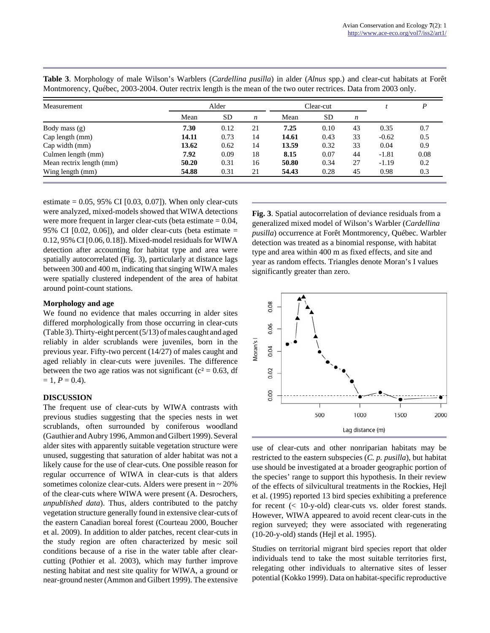| Measurement              | Alder |      | Clear-cut |       |           |    | D       |      |
|--------------------------|-------|------|-----------|-------|-----------|----|---------|------|
|                          | Mean  | SD.  | n         | Mean  | <b>SD</b> | n  |         |      |
| Body mass $(g)$          | 7.30  | 0.12 | 21        | 7.25  | 0.10      | 43 | 0.35    | 0.7  |
| Cap length (mm)          | 14.11 | 0.73 | 14        | 14.61 | 0.43      | 33 | $-0.62$ | 0.5  |
| Cap width (mm)           | 13.62 | 0.62 | 14        | 13.59 | 0.32      | 33 | 0.04    | 0.9  |
| Culmen length (mm)       | 7.92  | 0.09 | 18        | 8.15  | 0.07      | 44 | $-1.81$ | 0.08 |
| Mean rectrix length (mm) | 50.20 | 0.31 | 16        | 50.80 | 0.34      | 27 | $-1.19$ | 0.2  |
| Wing length (mm)         | 54.88 | 0.31 | 21        | 54.43 | 0.28      | 45 | 0.98    | 0.3  |

**Table 3**. Morphology of male Wilson's Warblers (*Cardellina pusilla*) in alder (*Alnus* spp.) and clear-cut habitats at Forêt Montmorency, Québec, 2003-2004. Outer rectrix length is the mean of the two outer rectrices. Data from 2003 only.

estimate  $= 0.05, 95\% \text{ CI}$  [0.03, 0.07]). When only clear-cuts were analyzed, mixed-models showed that WIWA detections were more frequent in larger clear-cuts (beta estimate  $= 0.04$ , 95% CI  $[0.02, 0.06]$ ), and older clear-cuts (beta estimate = 0.12, 95% CI [0.06, 0.18]). Mixed-model residuals for WIWA detection after accounting for habitat type and area were spatially autocorrelated (Fig. 3), particularly at distance lags between 300 and 400 m, indicating that singing WIWA males were spatially clustered independent of the area of habitat around point-count stations.

#### **Morphology and age**

We found no evidence that males occurring in alder sites differed morphologically from those occurring in clear-cuts (Table 3). Thirty-eight percent (5/13) of males caught and aged reliably in alder scrublands were juveniles, born in the previous year. Fifty-two percent (14/27) of males caught and aged reliably in clear-cuts were juveniles. The difference between the two age ratios was not significant ( $c<sup>2</sup> = 0.63$ , df  $= 1, P = 0.4$ .

## **DISCUSSION**

The frequent use of clear-cuts by WIWA contrasts with previous studies suggesting that the species nests in wet scrublands, often surrounded by coniferous woodland (Gauthier and Aubry 1996, Ammon and Gilbert 1999). Several alder sites with apparently suitable vegetation structure were unused, suggesting that saturation of alder habitat was not a likely cause for the use of clear-cuts. One possible reason for regular occurrence of WIWA in clear-cuts is that alders sometimes colonize clear-cuts. Alders were present in ~ 20% of the clear-cuts where WIWA were present (A. Desrochers, *unpublished data*). Thus, alders contributed to the patchy vegetation structure generally found in extensive clear-cuts of the eastern Canadian boreal forest (Courteau 2000, Boucher et al. 2009). In addition to alder patches, recent clear-cuts in the study region are often characterized by mesic soil conditions because of a rise in the water table after clearcutting (Pothier et al. 2003), which may further improve nesting habitat and nest site quality for WIWA, a ground or near-ground nester (Ammon and Gilbert 1999). The extensive **Fig. 3**. Spatial autocorrelation of deviance residuals from a generalized mixed model of Wilson's Warbler (*Cardellina pusilla*) occurrence at Forêt Montmorency, Québec. Warbler detection was treated as a binomial response, with habitat type and area within 400 m as fixed effects, and site and year as random effects. Triangles denote Moran's I values significantly greater than zero.



use of clear-cuts and other nonriparian habitats may be restricted to the eastern subspecies (*C. p. pusilla*), but habitat use should be investigated at a broader geographic portion of the species' range to support this hypothesis. In their review of the effects of silvicultural treatments in the Rockies, Hejl et al. (1995) reported 13 bird species exhibiting a preference for recent (< 10-y-old) clear-cuts vs. older forest stands. However, WIWA appeared to avoid recent clear-cuts in the region surveyed; they were associated with regenerating (10-20-y-old) stands (Hejl et al. 1995).

Studies on territorial migrant bird species report that older individuals tend to take the most suitable territories first, relegating other individuals to alternative sites of lesser potential (Kokko 1999). Data on habitat-specific reproductive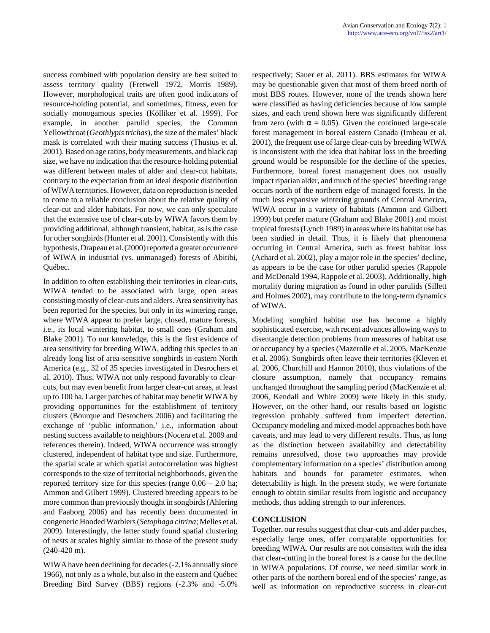success combined with population density are best suited to assess territory quality (Fretwell 1972, Morris 1989). However, morphological traits are often good indicators of resource-holding potential, and sometimes, fitness, even for socially monogamous species (Kölliker et al. 1999). For example, in another parulid species, the Common Yellowthroat (*Geothlypis trichas*), the size of the males' black mask is correlated with their mating success (Thusius et al. 2001). Based on age ratios, body measurements, and black cap size, we have no indication that the resource-holding potential was different between males of alder and clear-cut habitats, contrary to the expectation from an ideal despotic distribution of WIWA territories. However, data on reproduction is needed to come to a reliable conclusion about the relative quality of clear-cut and alder habitats. For now, we can only speculate that the extensive use of clear-cuts by WIWA favors them by providing additional, although transient, habitat, as is the case for other songbirds (Hunter et al. 2001). Consistently with this hypothesis, Drapeau et al. (2000) reported a greater occurrence of WIWA in industrial (vs. unmanaged) forests of Abitibi, Québec.

In addition to often establishing their territories in clear-cuts, WIWA tended to be associated with large, open areas consisting mostly of clear-cuts and alders. Area sensitivity has been reported for the species, but only in its wintering range, where WIWA appear to prefer large, closed, mature forests, i.e., its local wintering habitat, to small ones (Graham and Blake 2001). To our knowledge, this is the first evidence of area sensitivity for breeding WIWA, adding this species to an already long list of area-sensitive songbirds in eastern North America (e.g., 32 of 35 species investigated in Desrochers et al. 2010). Thus, WIWA not only respond favorably to clearcuts, but may even benefit from larger clear-cut areas, at least up to 100 ha. Larger patches of habitat may benefit WIWA by providing opportunities for the establishment of territory clusters (Bourque and Desrochers 2006) and facilitating the exchange of 'public information,' i.e., information about nesting success available to neighbors (Nocera et al. 2009 and references therein). Indeed, WIWA occurrence was strongly clustered, independent of habitat type and size. Furthermore, the spatial scale at which spatial autocorrelation was highest corresponds to the size of territorial neighborhoods, given the reported territory size for this species (range  $0.06 - 2.0$  ha; Ammon and Gilbert 1999). Clustered breeding appears to be more common than previously thought in songbirds (Ahlering and Faaborg 2006) and has recently been documented in congeneric Hooded Warblers (*Setophaga citrina*; Melles et al. 2009). Interestingly, the latter study found spatial clustering of nests at scales highly similar to those of the present study (240-420 m).

WIWA have been declining for decades (-2.1% annually since 1966), not only as a whole, but also in the eastern and Québec Breeding Bird Survey (BBS) regions (-2.3% and -5.0% respectively; Sauer et al. 2011). BBS estimates for WIWA may be questionable given that most of them breed north of most BBS routes. However, none of the trends shown here were classified as having deficiencies because of low sample sizes, and each trend shown here was significantly different from zero (with  $\alpha = 0.05$ ). Given the continued large-scale forest management in boreal eastern Canada (Imbeau et al. 2001), the frequent use of large clear-cuts by breeding WIWA is inconsistent with the idea that habitat loss in the breeding ground would be responsible for the decline of the species. Furthermore, boreal forest management does not usually impact riparian alder, and much of the species' breeding range occurs north of the northern edge of managed forests. In the much less expansive wintering grounds of Central America, WIWA occur in a variety of habitats (Ammon and Gilbert 1999) but prefer mature (Graham and Blake 2001) and moist tropical forests (Lynch 1989) in areas where its habitat use has been studied in detail. Thus, it is likely that phenomena occurring in Central America, such as forest habitat loss (Achard et al. 2002), play a major role in the species' decline, as appears to be the case for other parulid species (Rappole and McDonald 1994, Rappole et al. 2003). Additionally, high mortality during migration as found in other parulids (Sillett and Holmes 2002), may contribute to the long-term dynamics of WIWA.

Modeling songbird habitat use has become a highly sophisticated exercise, with recent advances allowing ways to disentangle detection problems from measures of habitat use or occupancy by a species (Mazerolle et al. 2005, MacKenzie et al. 2006). Songbirds often leave their territories (Kleven et al. 2006, Churchill and Hannon 2010), thus violations of the closure assumption, namely that occupancy remains unchanged throughout the sampling period (MacKenzie et al. 2006, Kendall and White 2009) were likely in this study. However, on the other hand, our results based on logistic regression probably suffered from imperfect detection. Occupancy modeling and mixed-model approaches both have caveats, and may lead to very different results. Thus, as long as the distinction between availability and detectability remains unresolved, those two approaches may provide complementary information on a species' distribution among habitats and bounds for parameter estimates, when detectability is high. In the present study, we were fortunate enough to obtain similar results from logistic and occupancy methods, thus adding strength to our inferences.

# **CONCLUSION**

Together, our results suggest that clear-cuts and alder patches, especially large ones, offer comparable opportunities for breeding WIWA. Our results are not consistent with the idea that clear-cutting in the boreal forest is a cause for the decline in WIWA populations. Of course, we need similar work in other parts of the northern boreal end of the species' range, as well as information on reproductive success in clear-cut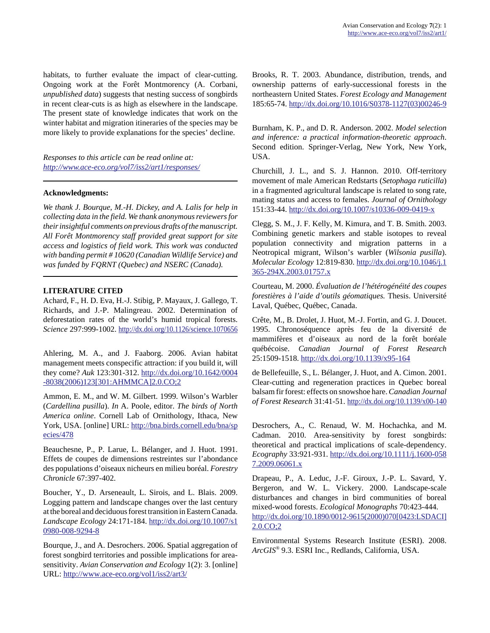habitats, to further evaluate the impact of clear-cutting. Ongoing work at the Forêt Montmorency (A. Corbani, *unpublished data*) suggests that nesting success of songbirds in recent clear-cuts is as high as elsewhere in the landscape. The present state of knowledge indicates that work on the winter habitat and migration itineraries of the species may be more likely to provide explanations for the species' decline.

*Responses to this article can be read online at: <http://www.ace-eco.org/vol7/iss2/art1/responses/>*

### **Acknowledgments:**

*We thank J. Bourque, M.-H. Dickey, and A. Lalis for help in collecting data in the field. We thank anonymous reviewers for their insightful comments on previous drafts of the manuscript. All Forêt Montmorency staff provided great support for site access and logistics of field work. This work was conducted with banding permit # 10620 (Canadian Wildlife Service) and was funded by FQRNT (Quebec) and NSERC (Canada).*

# **LITERATURE CITED**

Achard, F., H. D. Eva, H.-J. Stibig, P. Mayaux, J. Gallego, T. Richards, and J.-P. Malingreau. 2002. Determination of deforestation rates of the world's humid tropical forests. *Science* 297:999-1002.<http://dx.doi.org/10.1126/science.1070656>

Ahlering, M. A., and J. Faaborg. 2006. Avian habitat management meets conspecific attraction: if you build it, will they come? *Auk* 123:301-312. [http://dx.doi.org/10.1642/0004](http://dx.doi.org/10.1642/0004-8038(2006)123[301:AHMMCA]2.0.CO;2) [-8038\(2006\)123\[301:AHMMCA\]2.0.CO;2](http://dx.doi.org/10.1642/0004-8038(2006)123[301:AHMMCA]2.0.CO;2)

Ammon, E. M., and W. M. Gilbert. 1999. Wilson's Warbler (*Cardellina pusilla*). *In* A. Poole, editor. *The birds of North America online*. Cornell Lab of Ornithology, Ithaca, New York, USA. [online] URL: [http://bna.birds.cornell.edu/bna/sp](http://bna.birds.cornell.edu/bna/species/478) [ecies/478](http://bna.birds.cornell.edu/bna/species/478)

Beauchesne, P., P. Larue, L. Bélanger, and J. Huot. 1991. Effets de coupes de dimensions restreintes sur l'abondance des populations d'oiseaux nicheurs en milieu boréal. *Forestry Chronicle* 67:397-402.

Boucher, Y., D. Arseneault, L. Sirois, and L. Blais. 2009. Logging pattern and landscape changes over the last century at the boreal and deciduous forest transition in Eastern Canada. *Landscape Ecology* 24:171-184. [http://dx.doi.org/10.1007/s1](http://dx.doi.org/10.1007/s10980-008-9294-8) [0980-008-9294-8](http://dx.doi.org/10.1007/s10980-008-9294-8)

Bourque, J., and A. Desrochers. 2006. Spatial aggregation of forest songbird territories and possible implications for areasensitivity. *Avian Conservation and Ecology* 1(2): 3. [online] URL:<http://www.ace-eco.org/vol1/iss2/art3/>

Brooks, R. T. 2003. Abundance, distribution, trends, and ownership patterns of early-successional forests in the northeastern United States. *Forest Ecology and Management* 185:65-74. [http://dx.doi.org/10.1016/S0378-1127\(03\)00246-9](http://dx.doi.org/10.1016/S0378-1127(03)00246-9)

Burnham, K. P., and D. R. Anderson. 2002. *Model selection and inference: a practical information-theoretic approach*. Second edition. Springer-Verlag, New York, New York, USA.

Churchill, J. L., and S. J. Hannon. 2010. Off-territory movement of male American Redstarts (*Setophaga ruticilla*) in a fragmented agricultural landscape is related to song rate, mating status and access to females. *Journal of Ornithology* 151:33-44.<http://dx.doi.org/10.1007/s10336-009-0419-x>

Clegg, S. M., J. F. Kelly, M. Kimura, and T. B. Smith. 2003. Combining genetic markers and stable isotopes to reveal population connectivity and migration patterns in a Neotropical migrant, Wilson's warbler (*Wilsonia pusilla*). *Molecular Ecology* 12:819-830. [http://dx.doi.org/10.1046/j.1](http://dx.doi.org/10.1046/j.1365-294X.2003.01757.x) [365-294X.2003.01757.x](http://dx.doi.org/10.1046/j.1365-294X.2003.01757.x)

Courteau, M. 2000. *Évaluation de l'hétérogénéité des coupes forestières à l'aide d'outils géomatiques.* Thesis. Université Laval, Québec, Québec, Canada.

Crête, M., B. Drolet, J. Huot, M.-J. Fortin, and G. J. Doucet. 1995. Chronoséquence après feu de la diversité de mammifères et d'oiseaux au nord de la forêt boréale québécoise. *Canadian Journal of Forest Research* 25:1509-1518.<http://dx.doi.org/10.1139/x95-164>

de Bellefeuille, S., L. Bélanger, J. Huot, and A. Cimon. 2001. Clear-cutting and regeneration practices in Quebec boreal balsam fir forest: effects on snowshoe hare. *Canadian Journal of Forest Research* 31:41-51. <http://dx.doi.org/10.1139/x00-140>

Desrochers, A., C. Renaud, W. M. Hochachka, and M. Cadman. 2010. Area-sensitivity by forest songbirds: theoretical and practical implications of scale-dependency. *Ecography* 33:921-931. [http://dx.doi.org/10.1111/j.1600-058](http://dx.doi.org/10.1111/j.1600-0587.2009.06061.x) [7.2009.06061.x](http://dx.doi.org/10.1111/j.1600-0587.2009.06061.x)

Drapeau, P., A. Leduc, J.-F. Giroux, J.-P. L. Savard, Y. Bergeron, and W. L. Vickery. 2000. Landscape-scale disturbances and changes in bird communities of boreal mixed-wood forests. *Ecological Monographs* 70:423-444. [http://dx.doi.org/10.1890/0012-9615\(2000\)070\[0423:LSDACI\]](http://dx.doi.org/10.1890/0012-9615(2000)070[0423:LSDACI]2.0.CO;2) [2.0.CO;2](http://dx.doi.org/10.1890/0012-9615(2000)070[0423:LSDACI]2.0.CO;2)

Environmental Systems Research Institute (ESRI). 2008. *ArcGIS®* 9.3. ESRI Inc., Redlands, California, USA.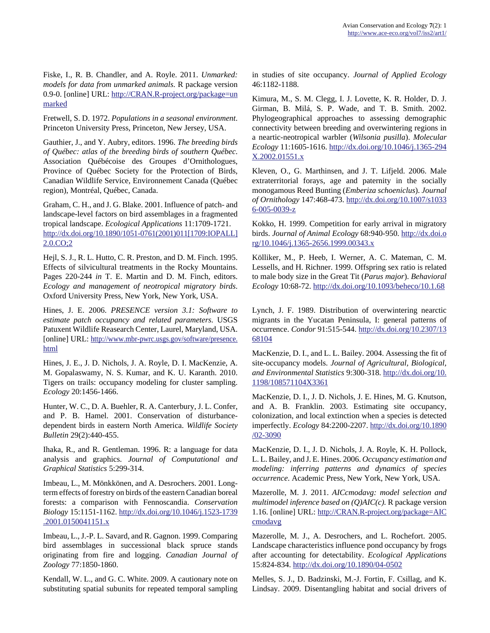Fiske, I., R. B. Chandler, and A. Royle. 2011. *Unmarked: models for data from unmarked animals.* R package version 0.9-0. [online] URL: [http://CRAN.R-project.org/package=un](http://CRAN.R-project.org/package=unmarked) [marked](http://CRAN.R-project.org/package=unmarked)

Fretwell, S. D. 1972. *Populations in a seasonal environment*. Princeton University Press, Princeton, New Jersey, USA.

Gauthier, J., and Y. Aubry, editors. 1996. *The breeding birds of Québec: atlas of the breeding birds of southern Québec*. Association Québécoise des Groupes d'Ornithologues, Province of Québec Society for the Protection of Birds, Canadian Wildlife Service, Environnement Canada (Québec region), Montréal, Québec, Canada.

Graham, C. H., and J. G. Blake. 2001. Influence of patch- and landscape-level factors on bird assemblages in a fragmented tropical landscape. *Ecological Applications* 11:1709-1721. [http://dx.doi.org/10.1890/1051-0761\(2001\)011\[1709:IOPALL\]](http://dx.doi.org/10.1890/1051-0761(2001)011[1709:IOPALL]2.0.CO;2) [2.0.CO;2](http://dx.doi.org/10.1890/1051-0761(2001)011[1709:IOPALL]2.0.CO;2)

Hejl, S. J., R. L. Hutto, C. R. Preston, and D. M. Finch. 1995. Effects of silvicultural treatments in the Rocky Mountains. Pages 220-244 *in* T. E. Martin and D. M. Finch, editors. *Ecology and management of neotropical migratory birds*. Oxford University Press, New York, New York, USA.

Hines, J. E. 2006. *PRESENCE version 3.1: Software to estimate patch occupancy and related parameters.* USGS Patuxent Wildlife Reasearch Center, Laurel, Maryland, USA. [online] URL: [http://www.mbr-pwrc.usgs.gov/software/presence.](http://www.mbr-pwrc.usgs.gov/software/presence.html) [html](http://www.mbr-pwrc.usgs.gov/software/presence.html)

Hines, J. E., J. D. Nichols, J. A. Royle, D. I. MacKenzie, A. M. Gopalaswamy, N. S. Kumar, and K. U. Karanth. 2010. Tigers on trails: occupancy modeling for cluster sampling. *Ecology* 20:1456-1466.

Hunter, W. C., D. A. Buehler, R. A. Canterbury, J. L. Confer, and P. B. Hamel. 2001. Conservation of disturbancedependent birds in eastern North America. *Wildlife Society Bulletin* 29(2):440-455.

Ihaka, R., and R. Gentleman. 1996. R: a language for data analysis and graphics. *Journal of Computational and Graphical Statistics* 5:299-314.

Imbeau, L., M. Mönkkönen, and A. Desrochers. 2001. Longterm effects of forestry on birds of the eastern Canadian boreal forests: a comparison with Fennoscandia. *Conservation Biology* 15:1151-1162. [http://dx.doi.org/10.1046/j.1523-1739](http://dx.doi.org/10.1046/j.1523-1739.2001.0150041151.x) [.2001.0150041151.x](http://dx.doi.org/10.1046/j.1523-1739.2001.0150041151.x)

Imbeau, L., J.-P. L. Savard, and R. Gagnon. 1999. Comparing bird assemblages in successional black spruce stands originating from fire and logging. *Canadian Journal of Zoology* 77:1850-1860.

Kendall, W. L., and G. C. White. 2009. A cautionary note on substituting spatial subunits for repeated temporal sampling in studies of site occupancy. *Journal of Applied Ecology* 46:1182-1188.

Kimura, M., S. M. Clegg, I. J. Lovette, K. R. Holder, D. J. Girman, B. Milá, S. P. Wade, and T. B. Smith. 2002. Phylogeographical approaches to assessing demographic connectivity between breeding and overwintering regions in a neartic-neotropical warbler (*Wilsonia pusilla*). *Molecular Ecology* 11:1605-1616. [http://dx.doi.org/10.1046/j.1365-294](http://dx.doi.org/10.1046/j.1365-294X.2002.01551.x) [X.2002.01551.x](http://dx.doi.org/10.1046/j.1365-294X.2002.01551.x)

Kleven, O., G. Marthinsen, and J. T. Lifjeld. 2006. Male extraterritorial forays, age and paternity in the socially monogamous Reed Bunting (*Emberiza schoeniclus*). *Journal of Ornithology* 147:468-473. [http://dx.doi.org/10.1007/s1033](http://dx.doi.org/10.1007/s10336-005-0039-z) [6-005-0039-z](http://dx.doi.org/10.1007/s10336-005-0039-z)

Kokko, H. 1999. Competition for early arrival in migratory birds. *Journal of Animal Ecology* 68:940-950. [http://dx.doi.o](http://dx.doi.org/10.1046/j.1365-2656.1999.00343.x) [rg/10.1046/j.1365-2656.1999.00343.x](http://dx.doi.org/10.1046/j.1365-2656.1999.00343.x)

Kölliker, M., P. Heeb, I. Werner, A. C. Mateman, C. M. Lessells, and H. Richner. 1999. Offspring sex ratio is related to male body size in the Great Tit (*Parus major*). *Behavioral Ecology* 10:68-72.<http://dx.doi.org/10.1093/beheco/10.1.68>

Lynch, J. F. 1989. Distribution of overwintering nearctic migrants in the Yucatan Peninsula, I: general patterns of occurrence. *Condor* 91:515-544. [http://dx.doi.org/10.2307/13](http://dx.doi.org/10.2307/1368104) [68104](http://dx.doi.org/10.2307/1368104)

MacKenzie, D. I., and L. L. Bailey. 2004. Assessing the fit of site-occupancy models. *Journal of Agricultural, Biological, and Environmental Statistics* 9:300-318. [http://dx.doi.org/10.](http://dx.doi.org/10.1198/108571104X3361) [1198/108571104X3361](http://dx.doi.org/10.1198/108571104X3361)

MacKenzie, D. I., J. D. Nichols, J. E. Hines, M. G. Knutson, and A. B. Franklin. 2003. Estimating site occupancy, colonization, and local extinction when a species is detected imperfectly. *Ecology* 84:2200-2207. [http://dx.doi.org/10.1890](http://dx.doi.org/10.1890/02-3090) [/02-3090](http://dx.doi.org/10.1890/02-3090)

MacKenzie, D. I., J. D. Nichols, J. A. Royle, K. H. Pollock, L. L. Bailey, and J. E. Hines. 2006. *Occupancy estimation and modeling: inferring patterns and dynamics of species occurrence*. Academic Press, New York, New York, USA.

Mazerolle, M. J. 2011. *AICcmodavg: model selection and multimodel inference based on (Q)AIC(c).* R package version 1.16. [online] URL: [http://CRAN.R-project.org/package=AIC](http://CRAN.R-project.org/package=AICcmodavg) [cmodavg](http://CRAN.R-project.org/package=AICcmodavg)

Mazerolle, M. J., A. Desrochers, and L. Rochefort. 2005. Landscape characteristics influence pond occupancy by frogs after accounting for detectability. *Ecological Applications* 15:824-834.<http://dx.doi.org/10.1890/04-0502>

Melles, S. J., D. Badzinski, M.-J. Fortin, F. Csillag, and K. Lindsay. 2009. Disentangling habitat and social drivers of